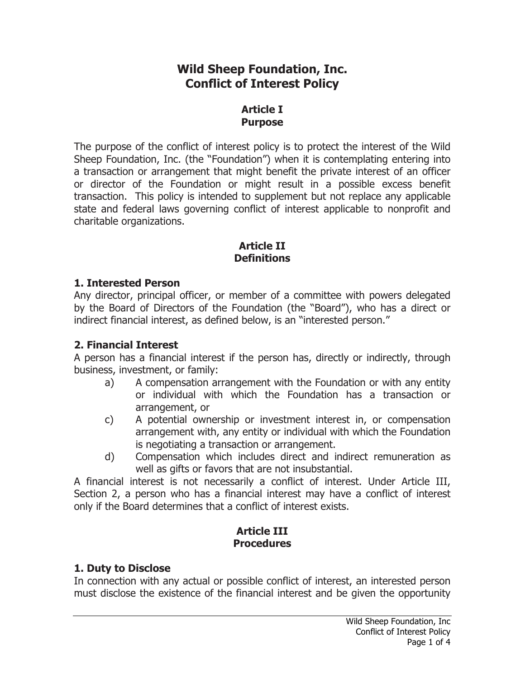# **Wild Sheep Foundation, Inc. Conflict of Interest Policy**

## **Article I Purpose**

The purpose of the conflict of interest policy is to protect the interest of the Wild Sheep Foundation, Inc. (the "Foundation") when it is contemplating entering into a transaction or arrangement that might benefit the private interest of an officer or director of the Foundation or might result in a possible excess benefit transaction. This policy is intended to supplement but not replace any applicable state and federal laws governing conflict of interest applicable to nonprofit and charitable organizations.

## **Article II Definitions**

## **1. Interested Person**

Any director, principal officer, or member of a committee with powers delegated by the Board of Directors of the Foundation (the "Board"), who has a direct or indirect financial interest, as defined below, is an "interested person."

# **2. Financial Interest**

A person has a financial interest if the person has, directly or indirectly, through business, investment, or family:

- a) A compensation arrangement with the Foundation or with any entity or individual with which the Foundation has a transaction or arrangement, or
- c) A potential ownership or investment interest in, or compensation arrangement with, any entity or individual with which the Foundation is negotiating a transaction or arrangement.
- d) Compensation which includes direct and indirect remuneration as well as gifts or favors that are not insubstantial.

A financial interest is not necessarily a conflict of interest. Under Article III, Section 2, a person who has a financial interest may have a conflict of interest only if the Board determines that a conflict of interest exists.

## **Article III Procedures**

# **1. Duty to Disclose**

In connection with any actual or possible conflict of interest, an interested person must disclose the existence of the financial interest and be given the opportunity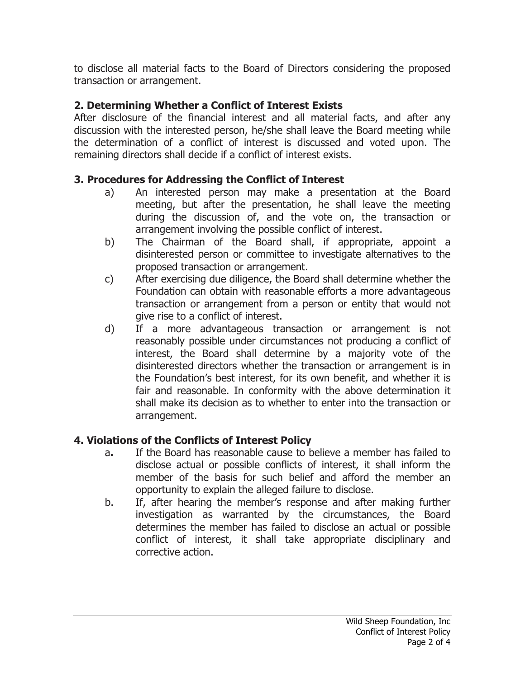to disclose all material facts to the Board of Directors considering the proposed transaction or arrangement.

# **2. Determining Whether a Conflict of Interest Exists**

After disclosure of the financial interest and all material facts, and after any discussion with the interested person, he/she shall leave the Board meeting while the determination of a conflict of interest is discussed and voted upon. The remaining directors shall decide if a conflict of interest exists.

# **3. Procedures for Addressing the Conflict of Interest**

- a) An interested person may make a presentation at the Board meeting, but after the presentation, he shall leave the meeting during the discussion of, and the vote on, the transaction or arrangement involving the possible conflict of interest.
- b) The Chairman of the Board shall, if appropriate, appoint a disinterested person or committee to investigate alternatives to the proposed transaction or arrangement.
- c) After exercising due diligence, the Board shall determine whether the Foundation can obtain with reasonable efforts a more advantageous transaction or arrangement from a person or entity that would not give rise to a conflict of interest.
- d) If a more advantageous transaction or arrangement is not reasonably possible under circumstances not producing a conflict of interest, the Board shall determine by a majority vote of the disinterested directors whether the transaction or arrangement is in the Foundation's best interest, for its own benefit, and whether it is fair and reasonable. In conformity with the above determination it shall make its decision as to whether to enter into the transaction or arrangement.

# **4. Violations of the Conflicts of Interest Policy**

- a**.** If the Board has reasonable cause to believe a member has failed to disclose actual or possible conflicts of interest, it shall inform the member of the basis for such belief and afford the member an opportunity to explain the alleged failure to disclose.
- b. If, after hearing the member's response and after making further investigation as warranted by the circumstances, the Board determines the member has failed to disclose an actual or possible conflict of interest, it shall take appropriate disciplinary and corrective action.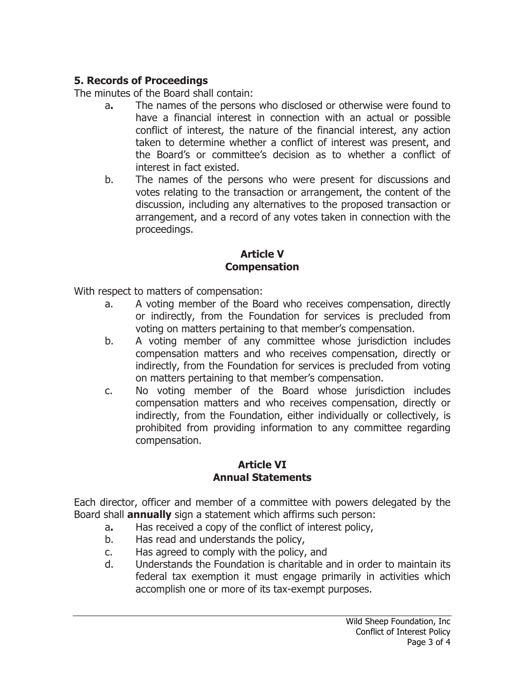# **5. Records of Proceedings**

The minutes of the Board shall contain:

- a**.** The names of the persons who disclosed or otherwise were found to have a financial interest in connection with an actual or possible conflict of interest, the nature of the financial interest, any action taken to determine whether a conflict of interest was present, and the Board's or committee's decision as to whether a conflict of interest in fact existed.
- b. The names of the persons who were present for discussions and votes relating to the transaction or arrangement, the content of the discussion, including any alternatives to the proposed transaction or arrangement, and a record of any votes taken in connection with the proceedings.

#### **Article V Compensation**

With respect to matters of compensation:

- a. A voting member of the Board who receives compensation, directly or indirectly, from the Foundation for services is precluded from voting on matters pertaining to that member's compensation.
- b. A voting member of any committee whose jurisdiction includes compensation matters and who receives compensation, directly or indirectly, from the Foundation for services is precluded from voting on matters pertaining to that member's compensation.
- c. No voting member of the Board whose jurisdiction includes compensation matters and who receives compensation, directly or indirectly, from the Foundation, either individually or collectively, is prohibited from providing information to any committee regarding compensation.

#### **Article VI Annual Statements**

Each director, officer and member of a committee with powers delegated by the Board shall **annually** sign a statement which affirms such person:

- a**.** Has received a copy of the conflict of interest policy,
- b. Has read and understands the policy,
- c. Has agreed to comply with the policy, and
- d. Understands the Foundation is charitable and in order to maintain its federal tax exemption it must engage primarily in activities which accomplish one or more of its tax-exempt purposes.